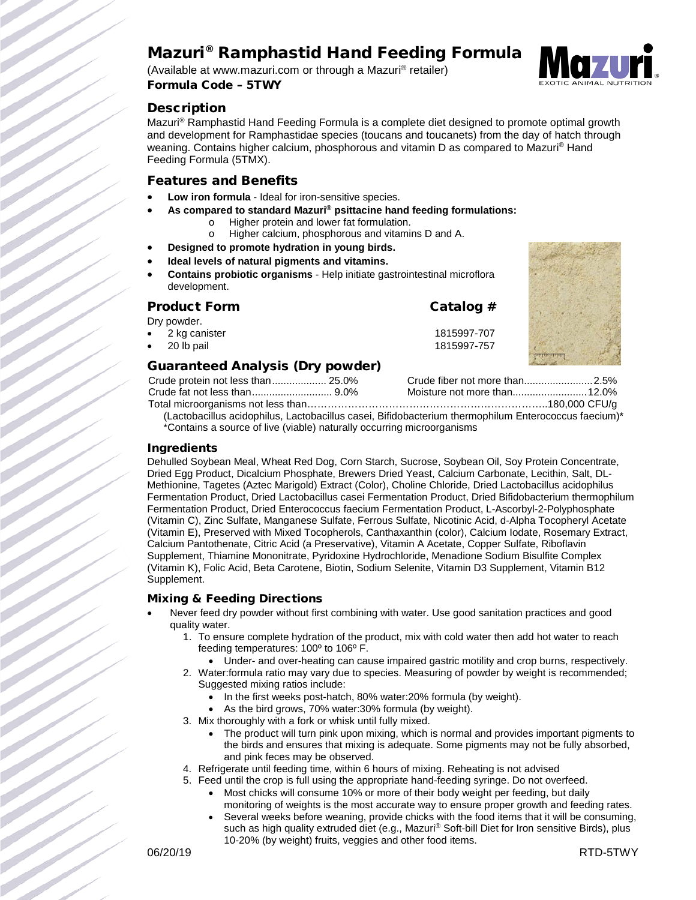# Mazuri® Ramphastid Hand Feeding Formula

(Available at www.mazuri.com or through a Mazuri® retailer) Formula Code – 5TWY

## **Description**

Mazuri<sup>®</sup> Ramphastid Hand Feeding Formula is a complete diet designed to promote optimal growth and development for Ramphastidae species (toucans and toucanets) from the day of hatch through weaning. Contains higher calcium, phosphorous and vitamin D as compared to Mazuri<sup>®</sup> Hand Feeding Formula (5TMX).

#### Features and Benefits

- Low iron formula Ideal for iron-sensitive species.
- **As compared to standard Mazuri® psittacine hand feeding formulations:**
	- o Higher protein and lower fat formulation.<br>
	o Higher calcium, phosphorous and vitamin
	- Higher calcium, phosphorous and vitamins D and A.
- **Designed to promote hydration in young birds.**
- **Ideal levels of natural pigments and vitamins.**
- **Contains probiotic organisms** Help initiate gastrointestinal microflora development.

## Product Form Catalog # Dry powder. • 2 kg canister 1815997-707 • 20 lb pail 1815997-757



## Guaranteed Analysis (Dry powder)

| Crude protein not less than 25.0% |  |
|-----------------------------------|--|
|                                   |  |
|                                   |  |
|                                   |  |

(Lactobacillus acidophilus, Lactobacillus casei, Bifidobacterium thermophilum Enterococcus faecium)\* \*Contains a source of live (viable) naturally occurring microorganisms

#### Ingredients

Dehulled Soybean Meal, Wheat Red Dog, Corn Starch, Sucrose, Soybean Oil, Soy Protein Concentrate, Dried Egg Product, Dicalcium Phosphate, Brewers Dried Yeast, Calcium Carbonate, Lecithin, Salt, DL-Methionine, Tagetes (Aztec Marigold) Extract (Color), Choline Chloride, Dried Lactobacillus acidophilus Fermentation Product, Dried Lactobacillus casei Fermentation Product, Dried Bifidobacterium thermophilum Fermentation Product, Dried Enterococcus faecium Fermentation Product, L-Ascorbyl-2-Polyphosphate (Vitamin C), Zinc Sulfate, Manganese Sulfate, Ferrous Sulfate, Nicotinic Acid, d-Alpha Tocopheryl Acetate (Vitamin E), Preserved with Mixed Tocopherols, Canthaxanthin (color), Calcium Iodate, Rosemary Extract, Calcium Pantothenate, Citric Acid (a Preservative), Vitamin A Acetate, Copper Sulfate, Riboflavin Supplement, Thiamine Mononitrate, Pyridoxine Hydrochloride, Menadione Sodium Bisulfite Complex (Vitamin K), Folic Acid, Beta Carotene, Biotin, Sodium Selenite, Vitamin D3 Supplement, Vitamin B12 Supplement.

#### Mixing & Feeding Directions

- Never feed dry powder without first combining with water. Use good sanitation practices and good quality water.
	- 1. To ensure complete hydration of the product, mix with cold water then add hot water to reach feeding temperatures: 100º to 106º F.
		- Under- and over-heating can cause impaired gastric motility and crop burns, respectively.
	- 2. Water:formula ratio may vary due to species. Measuring of powder by weight is recommended; Suggested mixing ratios include:
		- In the first weeks post-hatch, 80% water:20% formula (by weight).
		- As the bird grows, 70% water:30% formula (by weight).
	- 3. Mix thoroughly with a fork or whisk until fully mixed.
		- The product will turn pink upon mixing, which is normal and provides important pigments to the birds and ensures that mixing is adequate. Some pigments may not be fully absorbed, and pink feces may be observed.
	- 4. Refrigerate until feeding time, within 6 hours of mixing. Reheating is not advised
	- 5. Feed until the crop is full using the appropriate hand-feeding syringe. Do not overfeed. • Most chicks will consume 10% or more of their body weight per feeding, but daily
		- monitoring of weights is the most accurate way to ensure proper growth and feeding rates.
		- Several weeks before weaning, provide chicks with the food items that it will be consuming, such as high quality extruded diet (e.g., Mazuri® Soft-bill Diet for Iron sensitive Birds), plus 10-20% (by weight) fruits, veggies and other food items.